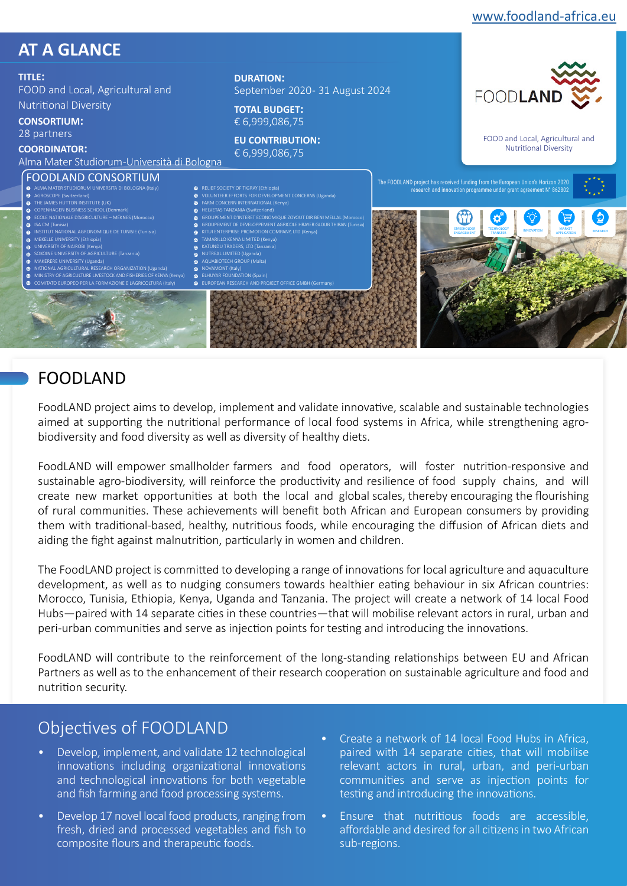

# FOODLAND

FoodLAND project aims to develop, implement and validate innovative, scalable and sustainable technologies aimed at supporting the nutritional performance of local food systems in Africa, while strengthening agrobiodiversity and food diversity as well as diversity of healthy diets.

FoodLAND will empower smallholder farmers and food operators, will foster nutrition-responsive and sustainable agro-biodiversity, will reinforce the productivity and resilience of food supply chains, and will create new market opportunities at both the local and global scales, thereby encouraging the flourishing of rural communities. These achievements will benefit both African and European consumers by providing them with traditional-based, healthy, nutritious foods, while encouraging the diffusion of African diets and aiding the fight against malnutrition, particularly in women and children.

The FoodLAND project is committed to developing a range of innovations for local agriculture and aquaculture development, as well as to nudging consumers towards healthier eating behaviour in six African countries: Morocco, Tunisia, Ethiopia, Kenya, Uganda and Tanzania. The project will create a network of 14 local Food Hubs—paired with 14 separate cities in these countries—that will mobilise relevant actors in rural, urban and peri-urban communities and serve as injection points for testing and introducing the innovations.

FoodLAND will contribute to the reinforcement of the long-standing relationships between EU and African Partners as well as to the enhancement of their research cooperation on sustainable agriculture and food and nutrition security.

### Objectives of FOODLAND

- Develop, implement, and validate 12 technological innovations including organizational innovations and technological innovations for both vegetable and fish farming and food processing systems.
- Develop 17 novel local food products, ranging from fresh, dried and processed vegetables and fish to composite flours and therapeutic foods.
- Create a network of 14 local Food Hubs in Africa, paired with 14 separate cities, that will mobilise relevant actors in rural, urban, and peri-urban communities and serve as injection points for testing and introducing the innovations.
- Ensure that nutritious foods are accessible, affordable and desired for all citizens in two African sub-regions.